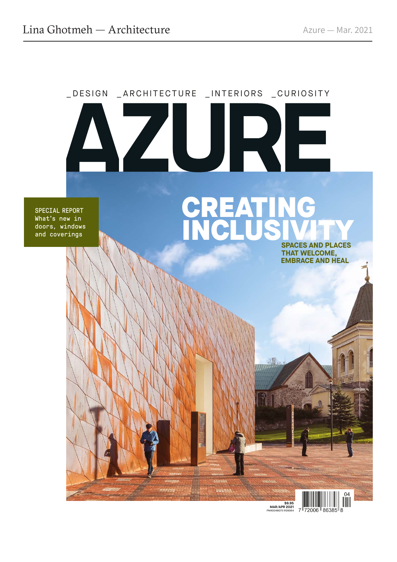